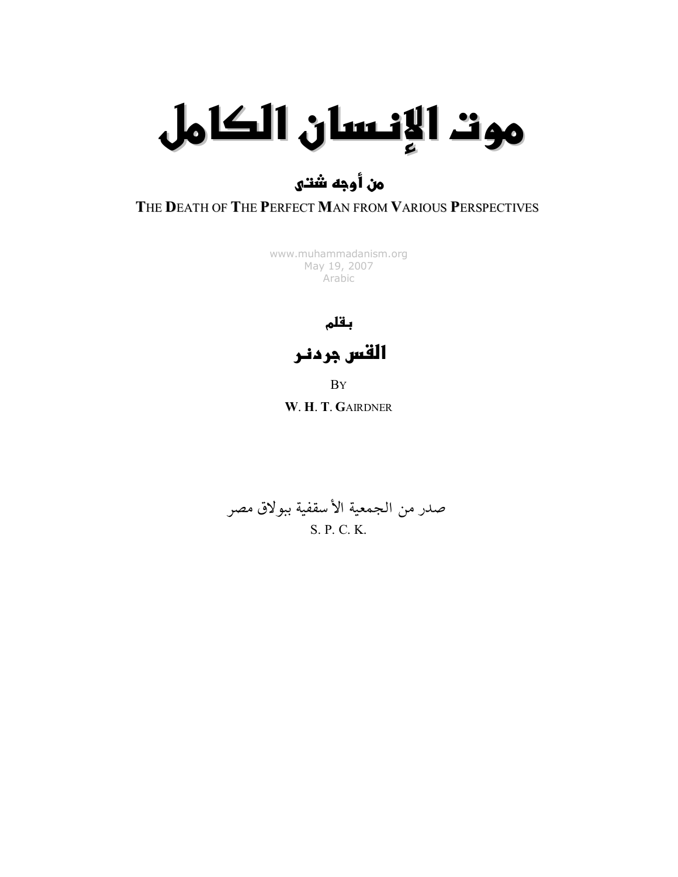# موت الإنسان الكامل

#### من أُوجه شُتـُـل

#### THE DEATH OF THE PERFECT MAN FROM VARIOUS PERSPECTIVES

[www.muhammadanism.org](http://www.muhammadanism.org/) May 19, 2007 Arabic

بقلم

القس جردنـر

BY

W. H. T. GAIRDNER

صدر من الجمعية الأسقفية ببولاق مصر S. P. C. K.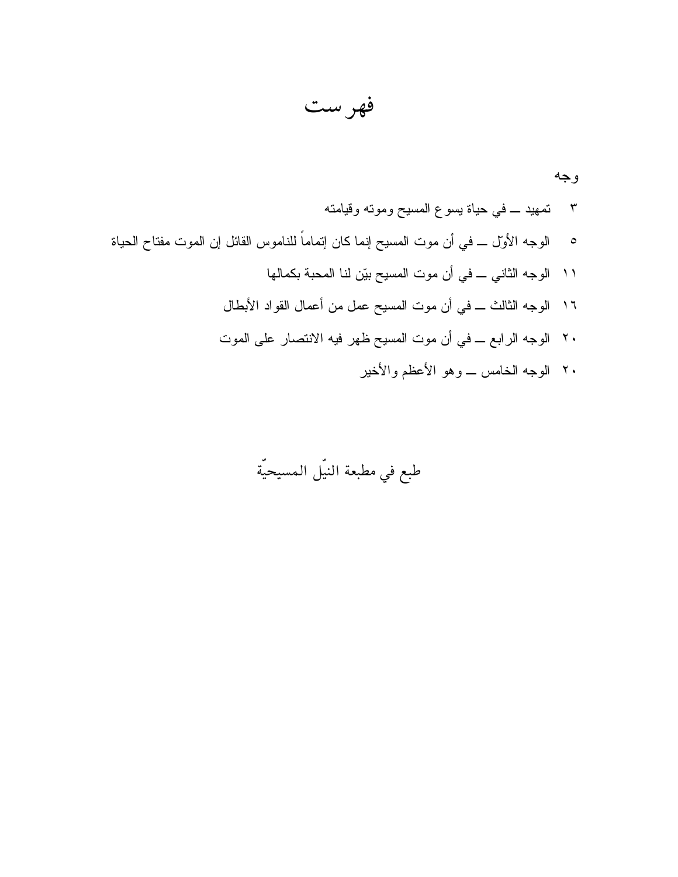فهرست

## طبع في مطبعة النيّل المسيحيّة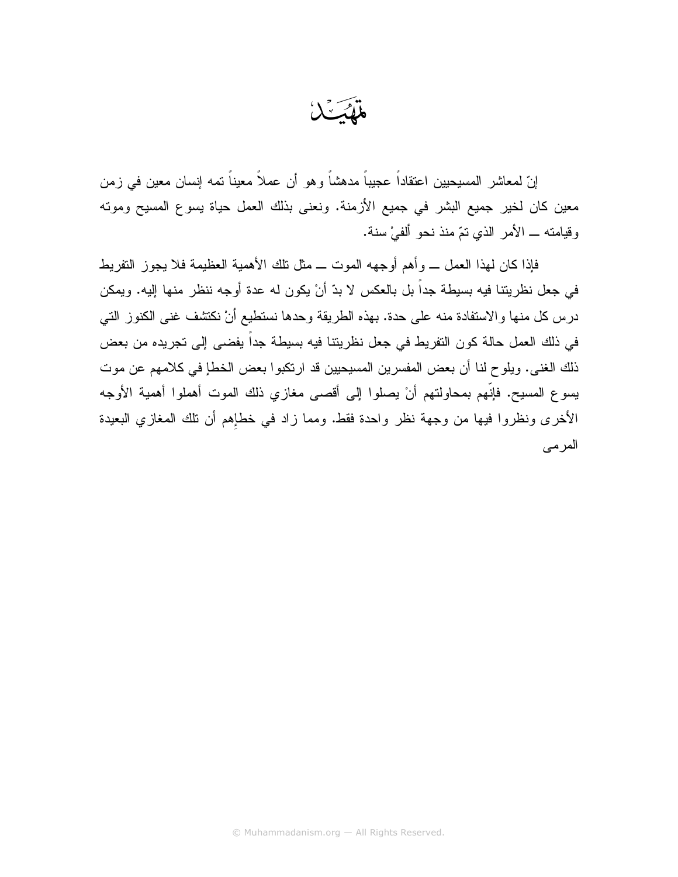إنّ لمعاشر المسيحيين اعتقاداً عجيباً مدهشاً وهو أن عملاً معيناً تمه إنسان معين في زمن معين كان لخير جميع البشر في جميع الأزمنة. ونعني بذلك العمل حياة يسوع المسيح ومونه وقيامته ــ الأمر الذي نمّ منذ نحو ألفيْ سنة.

فإذا كان لهذا العمل ـــ وأهم أوجهه الموت ـــ مثل نلك الأهمية العظيمة فلا يجوز النفريط في جعل نظريتنا فيه بسيطة جداً بل بالعكس لا بدّ أنْ يكون له عدة أوجه ننظر منها إليه. ويمكن درس كل منها والاستفادة منه على حدة. بهذه الطريقة وحدها نستطيع أنْ نكتشف غني الكنوز التي في ذلك العمل حالة كون التفريط في جعل نظريتنا فيه بسيطة جداً يفضيي إلى تجريده من بعض ذلك الغني. ويلوح لنا أن بعض المفسرين المسيحيين قد ارتكبوا بعض الخطإ في كلامهم عن موت يسوع المسيح. فإنَّهم بمحاولتهم أنْ يصلوا إلى أقصى مغازي ذلك الموت أهملوا أهمية الأوجه الأخرى ونظروا فيها من وجهة نظر واحدة فقط. ومما زاد في خطإهم أن نلك المغازي البعيدة المر مے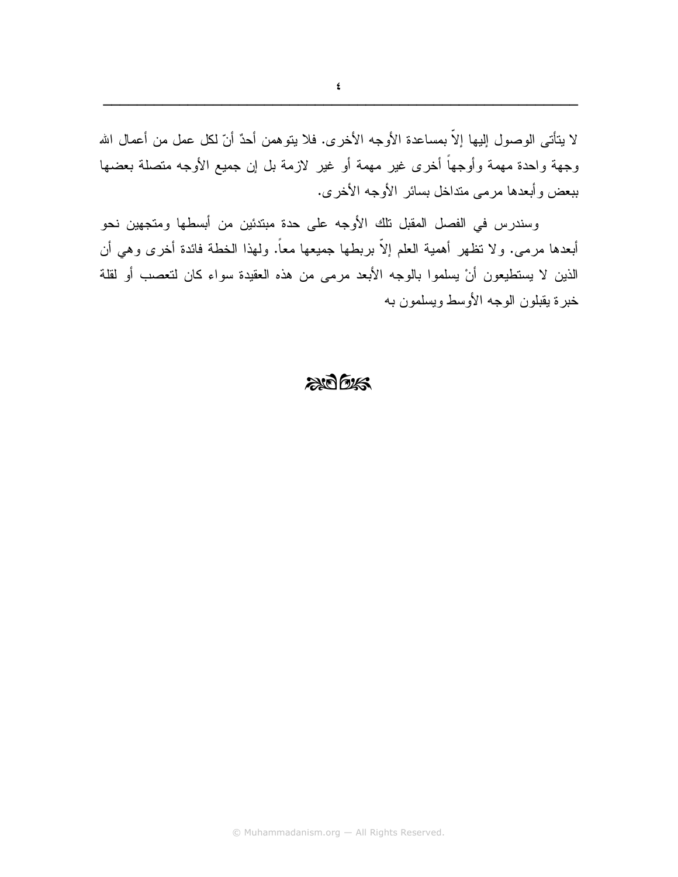لا يتأتى الوصول إليها إلاَّ بمساعدة الأوجه الأخرى. فلا يتوهمن أحدٌ أنّ لكل عمل من أعمال الله وجهة واحدة مهمة وأوجهاً أخرى غير مهمة أو غير لازمة بل إن جميع الأوجه متصلة بعضها ببعض وأبعدها مرمى منداخل بسائر الأوجه الأخرى.

وسندرس في الفصل المقبل نلك الأوجه على حدة مبتدئين من أبسطها ومتجهين نحو أبعدها مرمى. ولا نظهر أهمية العلم إلاَّ بربطها جميعها معاً. ولـهذا الخطة فائدة أخرى وهي أن الذين لا يستطيعون أنْ يسلموا بالوجه الأبعد مرمى من هذه العقيدة سواء كان لتعصب أو لقلة خبر ۃ بقبلو ن الوجه الأوسط وبسلمو ن به

#### $2005$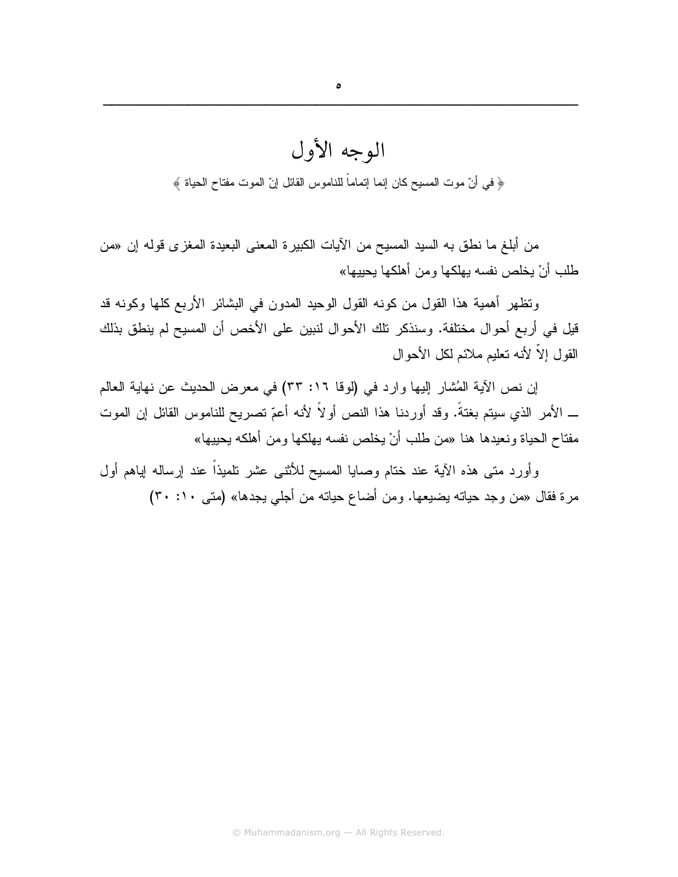### الوجه الأول ﴿ في أنّ موت المسيح كان إنما إتماماً للناموس القائل إنّ الموت مفتاح الحياة ﴾

من أبلغ ما نطق به السيد المسيح من الأيات الكبيرة المعنى البعيدة المغزى قوله إن «من طلب أنْ يخلص نفسه يهلكها ومن أهلكها يحييها»

وتظهر أهمية هذا القول من كونه القول الوحيد المدون في البشائر الأربع كلها وكونه قد قيل في أربع أحوال مختلفة. وسنذكر تلك الأحوال لنبين على الأخص أن المسيح لم ينطق بذلك القول إلاّ لأنه نعليم ملائم لكل الأحوال

إن نص الآية المُشار إليها وارد في (لوفا ١٦: ٣٣) في معرض الحديث عن نهاية العالم \_ الأمر الذي سيتم بغتةً. وقد أوردنا هذا النص أولاً لأنه أعمّ تصريح للناموس القائل إن الموت مفتاح الحياة ونعيدها هنا «من طلب أنْ يخلص نفسه بهلكها ومن أهلكه يحييها»

وأورد متى هذه الآية عند ختام وصابا المسيح للأنثىي عشر نلميذاً عند إرساله إياهم أول مرة فقال «من وجد حياته يضيعها. ومن أضاع حياته من أجلي يجدها» (متى ١٠: ٣٠)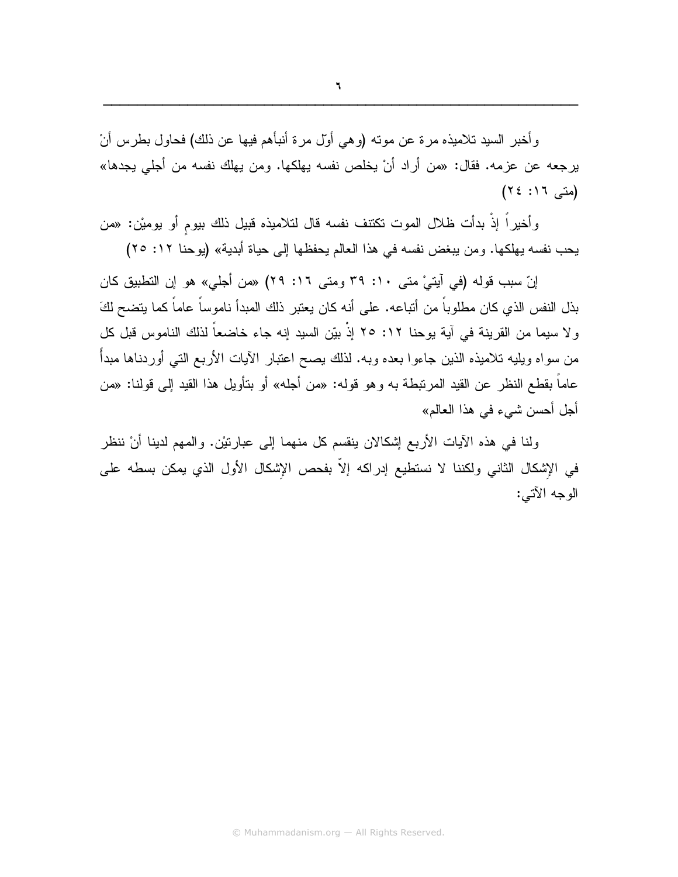و أخبر السيد تلاميذه مر ة عن موته (و هي أول مر ة أنبأهم فيها عن ذلك) فحاول بطرس أنْ يرجعه عن عزمه. فقال: «من أراد أنْ يخلص نفسه يهلكها. ومن يهلك نفسه من أجلي يجدها» (متى ١٦: ٢٤)

وأخيراً إذَّ بدأت ظلال الموت تكتنف نفسه قال لتلاميذه قبيل ذلك بيوم أو يوميْن: «من يحب نفسه بهلكها. ومن يبغض نفسه في هذا العالم يحفظها إلى حياة أبدية» (يوحنا ١٢: ٢٥)

إنّ سبب قوله (في آيتيْ متى ٢٠: ٣٩ ومتى ١٦: ٢٩) «من أجلي» هو إن التطبيق كان بذل النفس الذي كان مطلوباً من أنباعه. على أنه كان يعتبر ذلك المبدأ ناموساً عاماً كما يتضح لكَ ولا سيما من القرينة في آية يوحنا ١٢: ٢٥ إذْ بيّن السيد إنه جاء خاضعاً لذلك الناموس قبل كل من سواه ويليه نلاميذه الذين جاءوا بعده وبه. لذلك يصح اعتبار الأيات الأربع التبي أوردناها مبدأ عاماً بقطع النظر عن القيد المرتبطة به وهو قوله: «من أجله» أو بتأويل هذا القيد إلى قولنا: «من أجل أحسن شيء في هذا العالم»

ولَّنا في هذه الآيات الأربع إشكالان ينقسم كل منهما إلى عبارتيْن. والمهم لدينا أنْ ننظر في الإشكال الثاني ولكننا لا نستطيع إدراكه إلا بفحص الإشكال الأول الذي يمكن بسطه على الوجه الآتي: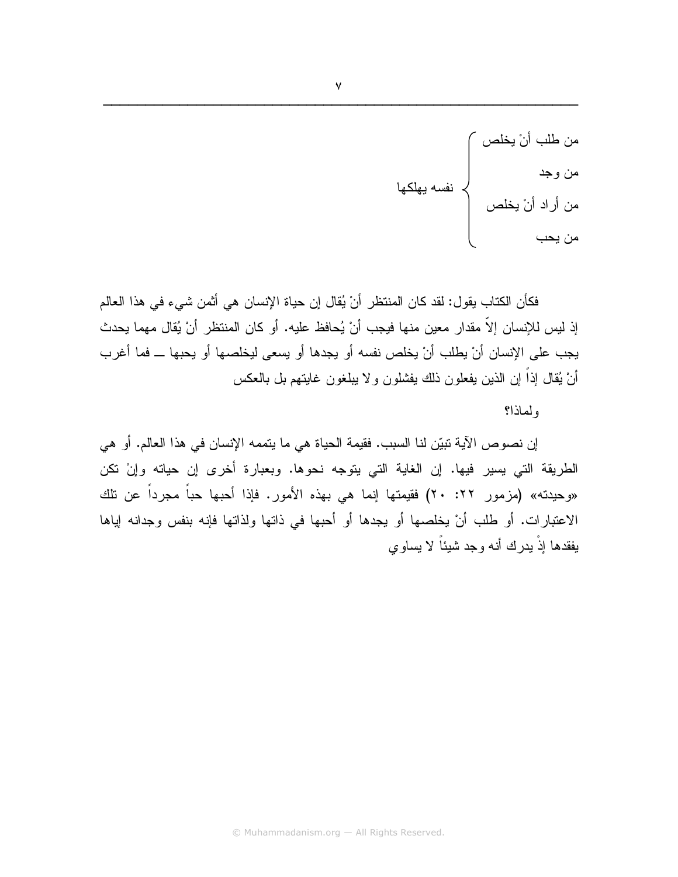من طلب أنْ يخلص<br>من وجد<br>من أراد أنْ يخلص<br>من رحب

فكأن الكتاب يقو ل: لقد كان المنتظر ٍ أنْ يُقال إن حياة الإنسان هي أثمن شيء في هذا العالم إذ ليس للإنسان إلاّ مقدار معين منها فيجب أنْ يُحافظ عليه. أو كان المنتظر أنْ يُقال مهما يحدث يجب على الإنسان أنْ يطلب أنْ يخلص نفسه أو يجدها أو يسعى ليخلصها أو يحبها ــ فما أغرب أنْ يُقال إذاً إن الذين يفعلون ذلك يفشلون ولا يبلغون غايتهم بل بالعكس

ولماذا؟

إن نصوص الآية نبيِّن لنا السبب. فقيمة الحياة هي ما يتممه الإنسان في هذا العالم. أو هي الطريقة التي يسير فيها. إن الغاية التي يتوجه نحوها. وبعبارة أخرى إن حياته وإنْ نكن «وحيدته» (مزمور ٢٢: ٢٠) فقيمتها إنما هي بهذه الأمور. فإذا أحبها حباً مجرداً عن تلك الاعتبارات. أو طلب أنْ يخلصها أو يجدها أو أحبها في ذاتها ولذاتها فإنه بنفس وجدانه إياها بفقدها اذْ بدر ك أنه و جد شبئاً لا بساو ي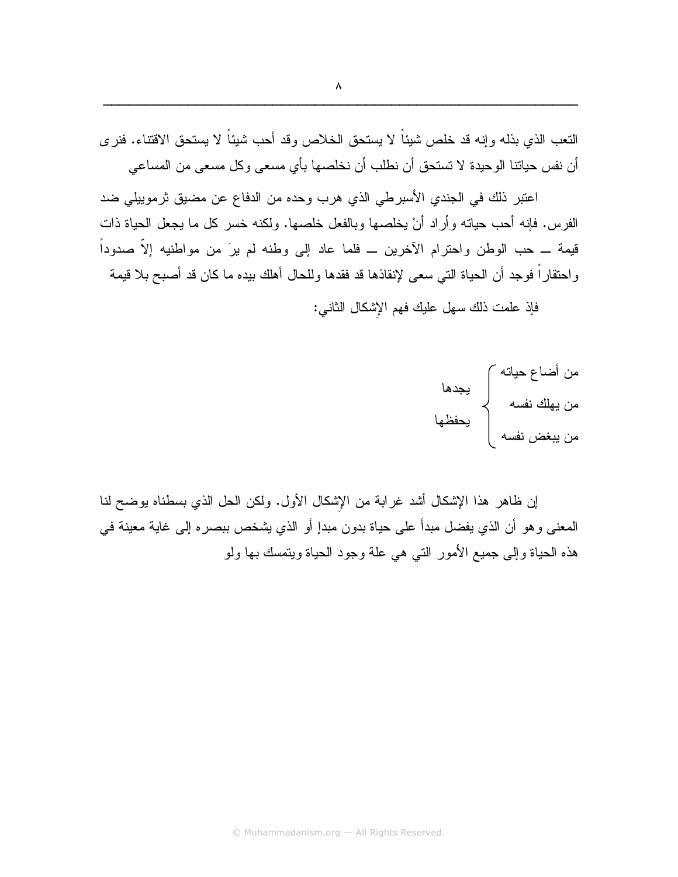النّعب الذي بذله وإنه قد خلص شيئاً لا يستحق الخلاص وقد أحب شيئاً لا يستحق الاقتناء. فنر ي أن نفس حياتنا الوحيدة لا تستحق أن نطلب أن نخلصها بأي مسعى وكل مسعى من المساعى

اعتبر ذلك في الجندي الأسبرطي الذي هرب وحده من الدفاع عن مضيق ثرموييلي ضد الفرس. فإنه أحب حياته وأراد أنْ يخلصها وبالفعل خلصها. ولكنه خسر كل ما يجعل الحياة ذات قيمة ـــ حب الوطن واحترام الآخرين ـــ فلما عاد إلى وطنه لم يرَ من مواطنيه إلاّ صدوداً واحتقاراً فوجد أن الحياة التي سعى لإنقاذها قد فقدها وللحال أهلك بيده ما كان قد أصبح بلا قيمة

فإذ علمت ذلك سهل عليك فهم الإشكال الثاني:



إن ظاهر هذا الإشكال أشد غرابة من الإشكال الأول. ولكن الحل الذي بسطناه بوضح لنا المعنى وهو أن الذي يفضل مبدأ على حياة بدون مبدإ أو الذي يشخص ببصره إلى غاية معينة في هذه الحياة وإلى جميع الأمور التي هي علة وجود الحياة ويتمسك بها ولو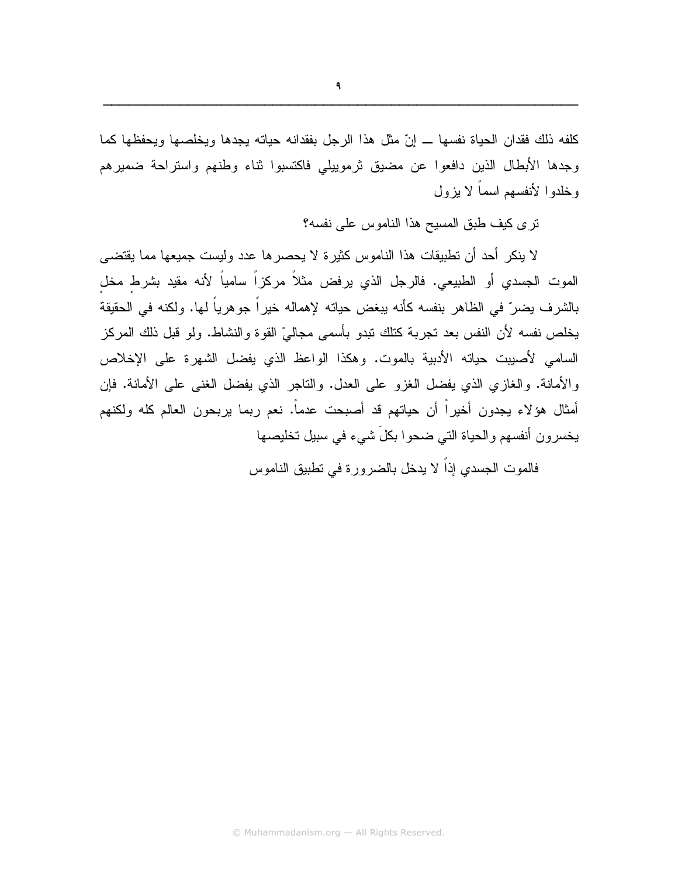كلفه ذلك فقدان الحياة نفسها ـــ إنّ مثل هذا الرجل بفقدانه حياته يجدها ويخلصها ويحفظها كما وجدها الأبطال الذين دافعوا عن مضيق ثرموييلي فاكتسبوا ثناء وطنهم واستراحة ضميرهم وخلدوا لأنفسهم اسماً لا يزول

ترى كيف طبق المسيح هذا الناموس على نفسه؟

لا ينكر أحد أن تطبيقات هذا الناموس كثيرة لا يحصر ها عدد وليست جميعها مما يقتضبي الموت الجسدي أو الطبيعي. فالرجل الذي يرفض مثلاً مركزاً سامياً لأنه مقيد بشرط مخل بالشرف يضرّ في الظاهر بنفسه كأنه يبغض حياته لإهماله خيراً جوهرياً لمها. ولكنه في الحقيقة يخلص نفسه لأن النفس بعد تجربة كتلك نبدو بأسمى مجاليْ القوة والنشاط. ولو قبل ذلك المركز السامي لأصيبت حياته الأدبية بالموت. وهكذا الواعظ الذي يفضل الشهرة على الإخلاص والأمانة. والغازي الذي يفضل الغزو على العدل. والناجر الذي يفضل الغني على الأمانة. فإن أمثال هؤلاء يجدون أخيراً أن حياتهم قد أصبحت عدماً. نعم ربما يربحون العالم كله ولكنهم يخسرون أنفسهم والحياة التي ضحوا بكلَ شيء في سبيل تخليصها

فالموت الجسدى إذاً لا يدخل بالضرورة في نطبيق الناموس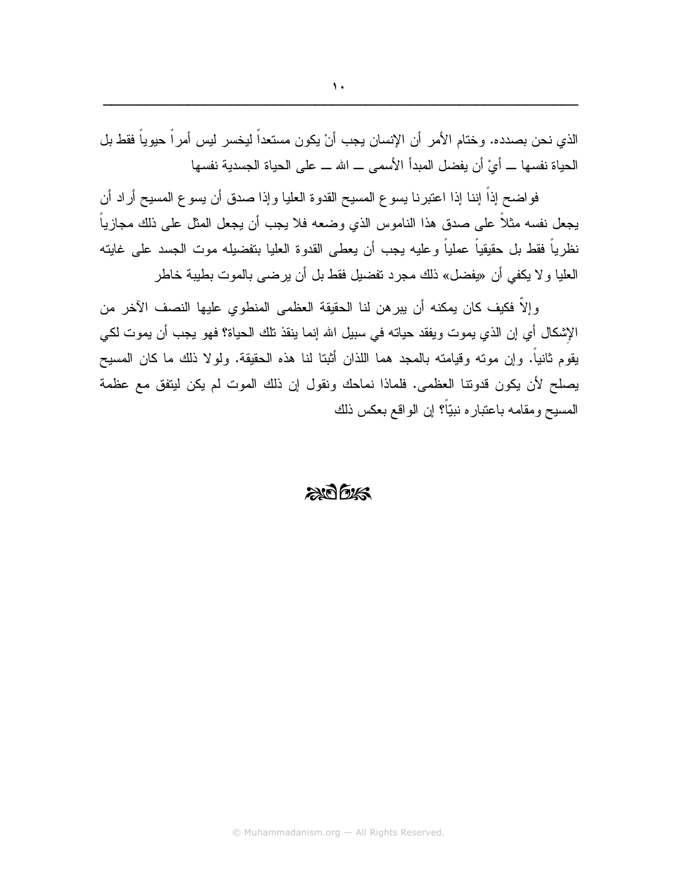الذي نحن بصدده. وختام الأمر أن الإنسان يجب أنْ يكون مستعداً ليخسر ليس أمراً حيوياً فقط بل الحياة نفسها ــــ أيْ أن يفضل المبدأ الأسمى ــــ الله ــــ على الحياة الجسدية نفسها

فواضح إذاً إننا إذا اعتبرنا يسوع المسيح القدوة العليا وإذا صدق أن يسوع المسيح أراد أن يجعل نفسه مثلاً على صدق هذا الناموس الذي وضعه فلا يجب أن يجعل المثل على ذلك مجازياً نظرياً فقط بل حقيقياً عملياً وعليه يجب أن يعطى القدوة العليا بتفضيله موت الجسد على غايته العليا و لا يكفي أن «يفضل» ذلك مجرد تفضيل فقط بل أن يرضي بالموت بطيبة خاطر

وإلاَّ فكيف كان يمكنه أن يبرهن لنا الحقيقة العظمى المنطوي عليها النصف الآخر من الإشكال أي إن الذي يموت ويفقد حياته في سبيل الله إنما ينقذ تلك الحياة؟ فهو يجب أن يموت لكي يقوم ثانياً. وإن موته وقيامته بالمجد هما اللذان أثبتا لنا هذه الحقيقة. ولولا ذلك ما كان المسيح يصلح لأن يكون قدونتا العظمى. فلماذا نماحك ونقول إن ذلك الموت لم يكن ليتفق مع عظمة المسيح ومقامه باعتباره نبيّاً؟ إن الواقع بعكس ذلك

#### $206$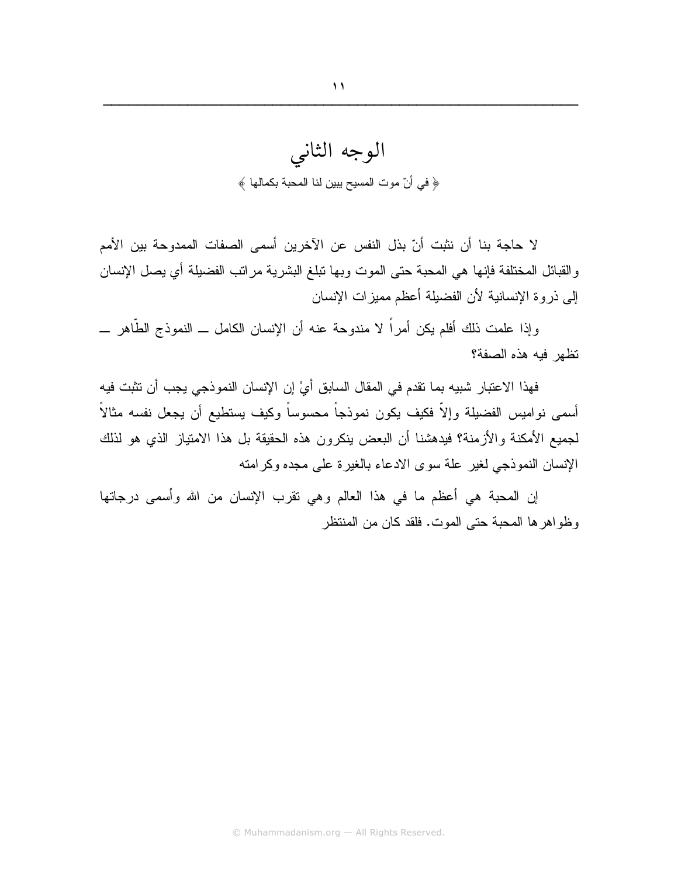لا حاجة بنا أن نثبت أنّ بذل النفس عن الآخرين أسمى الصفات الممدوحة بين الأمم والقبائل المختلفة فإنها هي المحبة حتى الموت وبها نبلغ البشرية مراتب الفضيلة أي يصل الإنسان إلىي ذروة الإنسانية لأن الفضيلة أعظم مميزات الإنسان

وإذا علمت ذلك أفلم يكن أمراً لا مندوحة عنه أن الإنسان الكامل ــ النموذج الطَّاهر ـــ تظهر فبه هذه الصفة؟

فهذا الاعتبار شبيه بما نقدم في المقال السابق أيْ إن الإنسان النموذجي يجب أن تثبت فيه أسمى نواميس الفضيلة وإلاّ فكيف يكون نموذجاً محسوساً وكيف يستطيع أن يجعل نفسه مثالاً لجميع الأمكنة والأزمنة؟ فيدهشنا أن البعض ينكرون هذه الحقيقة بل هذا الامتياز الذي هو لذلك الإنسان النموذجي لغير علة سوى الادعاء بالغيرة على مجده وكرامته

إن المحبة هي أعظم ما في هذا العالم وهي نقرب الإنسان من الله وأسمى درجاتها وظواهرها المحبة حتى الموت. فلقد كان من المنتظر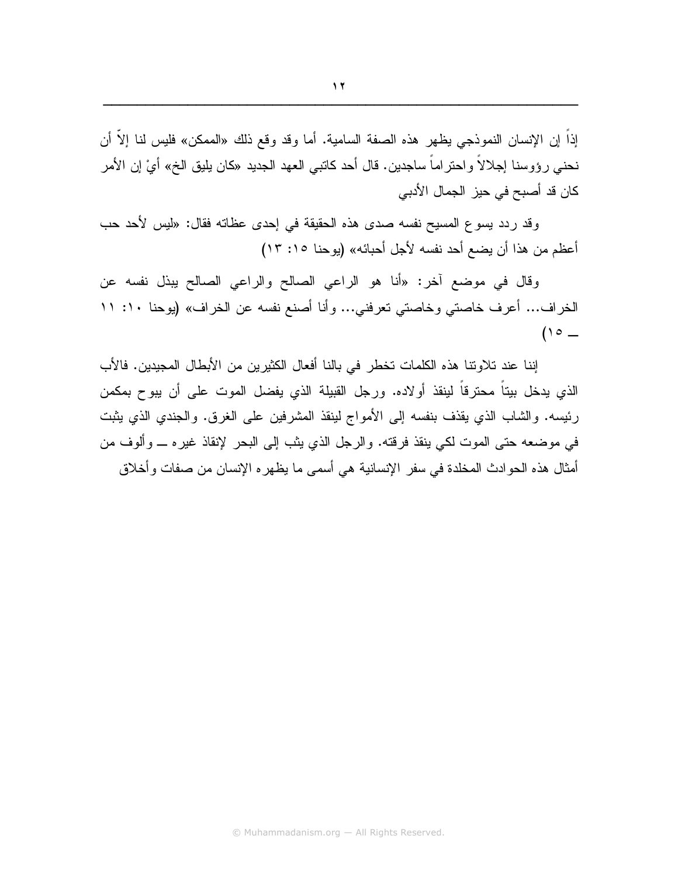إذاً إن الإنسان النموذجي يظهر هذه الصفة السامية. أما وقد وقع ذلك «الممكن» فليس لنا إلاَّ أن نحني رؤوسنا إجلالاً واحتراماً ساجدين. قال أحد كاتبي العهد الجديد «كان يليق الخ» أيْ إن الأمر كان قد أصبح في حيز ِ الجمال الأدبي

وقد ردد يسوع المسيح نفسه صدى هذه الحقيقة في إحدى عظاته فقال: «ليس لأحد حب أعظم من هذا أن يضع أحد نفسه لأجل أحبائه» (يوحنا ١٥: ١٣)

وقال في موضع أخر: «أنا هو الراعي الصالح والراعي الصالح يبذل نفسه عن الخراف... أعرف خاصتي وخاصتي تعرفني... وأنا أصنع نفسه عن الخراف» (يوحنا ١٠: ١١  $(10 -$ 

إننا عند تلاوتنا هذه الكلمات تخطر في بالنا أفعال الكثيرين من الأبطال المجيدين. فالأب الذي يدخل بيتاً محترقاً لينقذ أولاده. ورجل القبيلة الذي يفضل الموت على أن يبوح بمكمن رئيسه. والشاب الذي يقذف بنفسه إلى الأمواج لينقذ المشرفين على الغرق. والجندي الذي يثبت في موضعه حتى الموت لكي ينقذ فرقته. والرجل الذي يثب إلى البحر لإنقاذ غيره ـــ وألوف من أمثال هذه الحوادث المخلدة في سفر الإنسانية هي أسمي ما يظهره الإنسان من صفات وأخلاق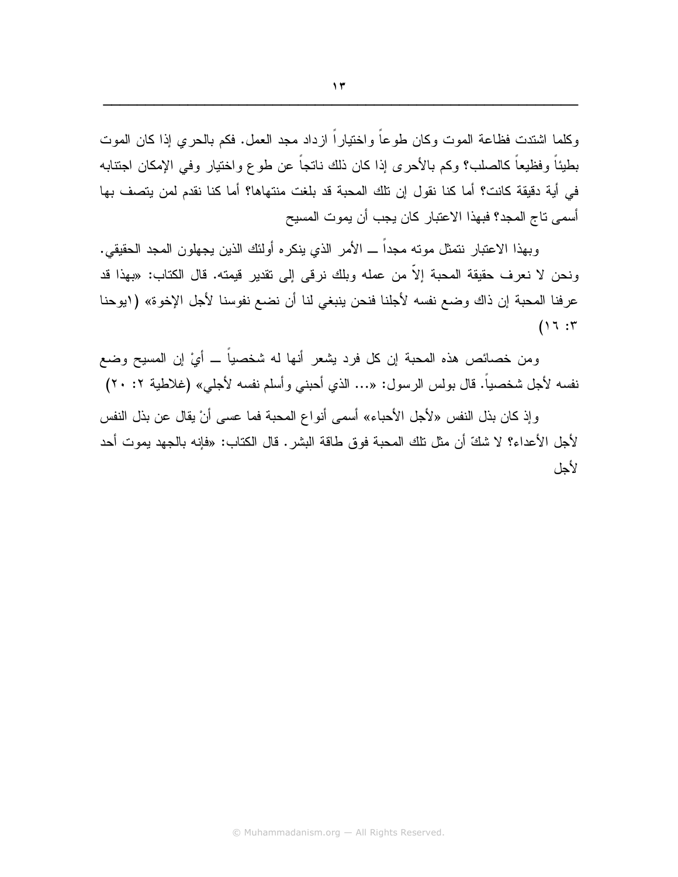وكلما اشتدت فظاعة الموت وكان طوعاً واختياراً ازداد مجد العمل. فكم بالحرى إذا كان الموت بطيئاً وفظيعاً كالصلب؟ وكم بالأحرى إذا كان ذلك ناتجاً عن طوع واختيار وفي الإمكان اجتنابه في أية دقيقة كانت؟ أما كنا نقول إن تلك المحبة قد بلغت منتهاها؟ أما كنا نقدم لمن يتصف بها أسمى تاج المجد؟ فبهذا الاعتبار كان يجب أن يموت المسيح

وبهذا الاعتبار نتمثل موته مجداً ـــ الأمر الذي ينكره أولئك الذين يجهلون المجد الحقيقي. ونحن لا نعرف حقيقة المحبة إلاّ من عمله وبلك نرقى إلى نقدير قيمته. قال الكتاب: «بهذا قد عرفنا المحبة إن ذاك وضع نفسه لأجلنا فنحن ينبغي لنا أن نضع نفوسنا لأجل الإخوة» (ابوحنا  $(17:5$ 

ومن خصائص هذه المحبة إن كل فرد يشعر أنها له شخصياً ـــ أيْ إن المسيح وضع نفسه لأجل شخصياً. قال بولس الرسول: «… الذي أحبني وأسلم نفسه لأجلي» (غلاطية ٢٠ ٢٠)

وإذ كان بذل النفس «لأجل الأحباء» أسمى أنواع المحبة فما عسى أنْ يقال عن بذل النفس لأجل الأعداء؟ لا شكَّ أن مثل نلك المحبة فوق طاقة البشر . قال الكتاب: «فإنه بالجهد يموت أحد لأجل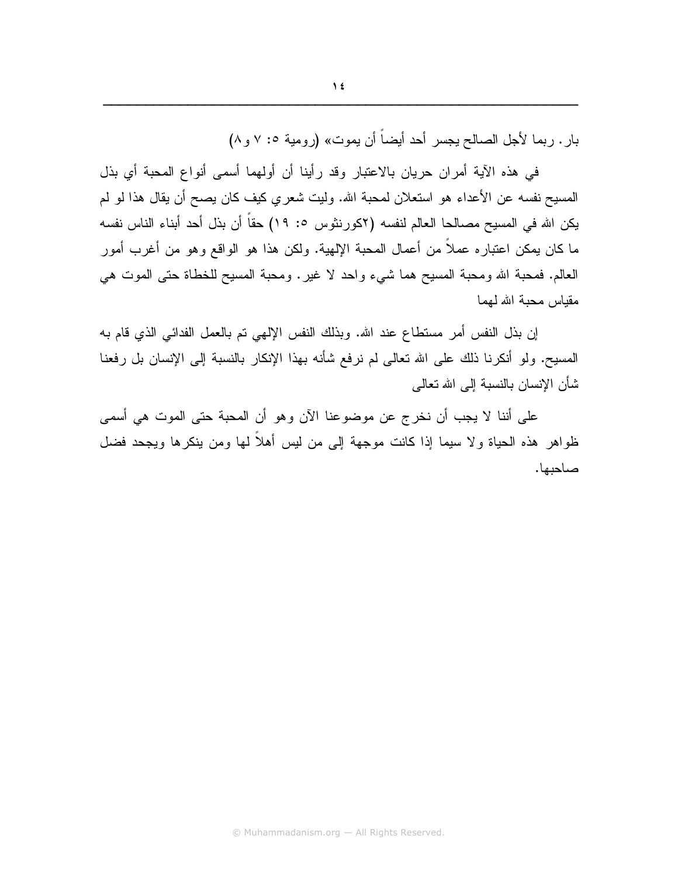بار . ربما لأجل الصالح يجسر أحد أيضاً أن يموت» (رومية ٥: ٧ و ٨)

في هذه الآية أمران حريان بالاعتبار وقد رأينا أن أولهما أسمى أنواع المحبة أي بذل المسيح نفسه عن الأعداء هو استعلان لمحبة الله. وليت شعري كيف كان يصح أن يقال هذا لو لم يكن الله في المسيح مصالحا العالم لنفسه (٢كورنثوس ٥: ١٩) حقاً أن بذل أحد أبناء الناس نفسه ما كان يمكن اعتباره عملاً من أعمال المحبة الإلهية. ولكن هذا هو الواقع وهو من أغرب أمور العالم. فمحبة الله ومحبة المسيح هما شيء واحد لا غيرٍ. ومحبة المسيح للخطاة حتى الموت هي مقباس محبة الله لمهما

إن بذل النفس أمر مستطاع عند الله. وبذلك النفس الإلهي نم بالعمل الفدائـي الذي قام بـه المسيح. ولو أنكرنا ذلك على الله نعالى لم نرفع شأنه بهذا الإنكار بالنسبة إلى الإنسان بل رفعنا شأن الإنسان بالنسبة إلى الله تعالى

على أننا لا يجب أن نخرج عن موضوعنا الآن وهو أن المحبة حتى الموت هي أسمى ظواهر هذه الحياة ولا سيما إذا كانت موجهة إلى من ليس أهلاً لها ومن ينكرها ويجحد فضل صاحبها.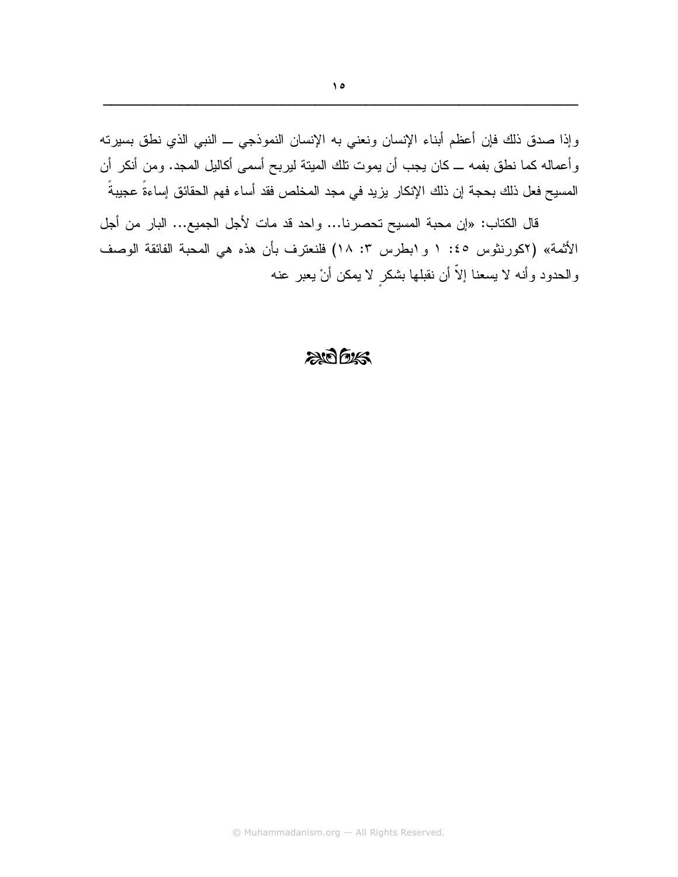وإذا صدق ذلك فإن أعظم أبناء الإنسان ونعني به الإنسان النموذجي ــ النبي الذي نطق بسيرته وأعماله كما نطق بفمه ـــ كان يجب أن يموت نلك المينة ليربح أسمى أكاليل المجد. ومن أنكر أن المسيح فعل ذلك بحجة إن ذلك الإنكار يزيد في مجد المخلص فقد أساء فهم الحقائق إساءةً عجيبةً

قال الكتاب: «إن محبة المسيح تحصرنا... واحد قد مات لأجل الجميع... البار من أجل الأثمة» (٢كورنثوس ٤٥: ١ و ١بطرس ٣: ١٨) فلنعترف بأن هذه هي المحبة الفائقة الوصف والحدود وأنه لا يسعنا إلاَّ أن نقبلها بشكر لا يمكن أنْ يعبر عنه

#### $206$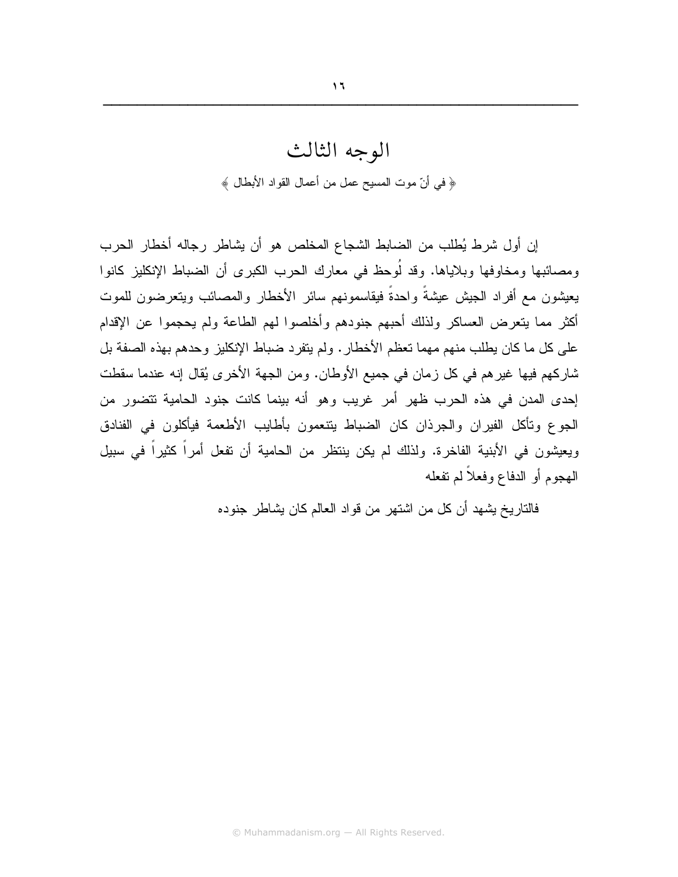إن أول شرط يُطلب من الضابط الشجاع المخلص هو أن يشاطر رجاله أخطار الحرب ومصائبها ومخاوفها وبلاياها. وقد لُوحظ في معارك الحرب الكبرى أن الضباط الإنكليز كانوا يعيشون مع أفراد الجيش عيشةً واحدةً فيقاسمونهم سائر الأخطار والمصائب ويتعرضون للموت أكثر مما يتعرض العساكر ولذلك أحبهم جنودهم وأخلصوا لهم الطاعة ولم يحجموا عن الإقدام على كل ما كان يطلب منهم مهما تعظم الأخطار . ولم يتفرد ضباط الإنكليز وحدهم بهذه الصفة بل شاركهم فيها غيرهم في كل زمان في جميع الأوطان. ومن الجهة الأخرى يُقال إنه عندما سقطت إحدى المدن في هذه الحرب ظهر أمر غريب وهو أنه بينما كانت جنود الحامية نتضور من الجوع وتأكل الفيران والجرذان كان الضباط ينتعمون بأطايب الأطعمة فيأكلون في الفنادق ويعيشون في الأبنية الفاخرة. ولذلك لم يكن ينتظر من الحامية أن تفعل أمراً كثيراً في سبيل المهجوم أو الدفاع وفعلاً لم تفعله

فالتاريخ يشهد أن كل من اشتهر من قواد العالم كان يشاطر جنوده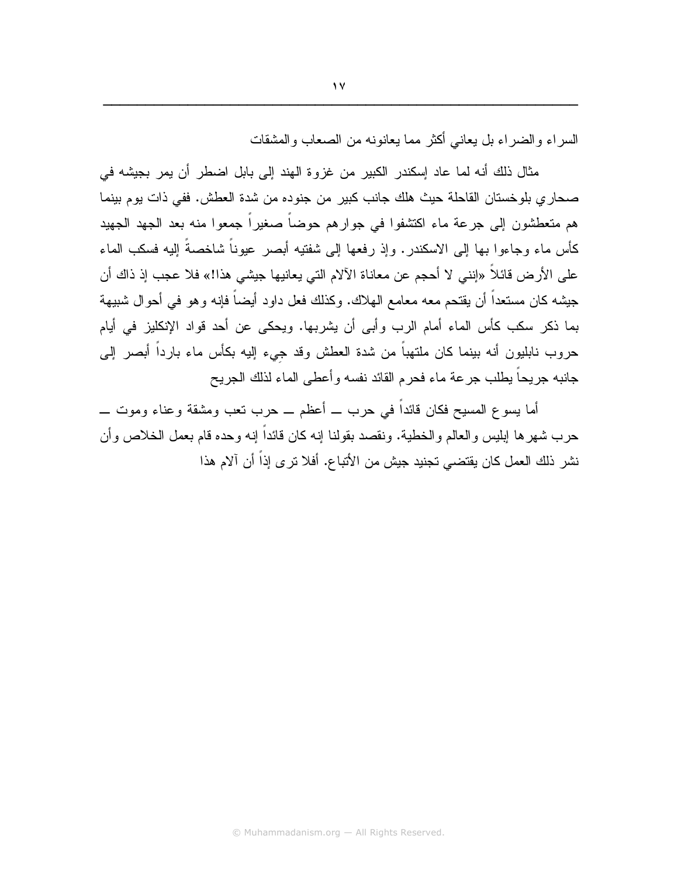السر اء و الضر اء بل بعاني أكثر ً مما بعانونه من الصعاب و المشقات

مثال ذلك أنه لما عاد إسكندر الكبير من غزوة الهند إلى بابل اضطر أن يمر بجيشه في صحار ي بلو خستان القاحلة حيث هلك جانب كبير ٍ من جنو ده من شدة العطش. ففي ذات يو م بينما هم متعطشون إلى جرعة ماء اكتشفوا في جوارهم حوضاً صغيراً جمعوا منه بعد الجهد الجهيد كأس ماء وجاءوا بها إلى الاسكندر . وإذ رفعها إلى شفتيه أبصر عيوناً شاخصةً إليه فسكب الماء على الأرض قائلاً «إنني لا أحجم عن معاناة الآلام التي يعانيها جيشي هذا!» فلا عجب إذ ذاك أن جيشه كان مستعداً أن يقتحم معه معامع الهلاك. وكذلك فعل داود أيضاً فإنه وهو في أحوال شبيهة بما ذكر سكب كأس الماء أمام الرب وأبي أن يشربها. ويحكي عن أحد قواد الإنكليز في أيام حروب نابليون أنه بينما كان ملتهباً من شدة العطش وقد جيء إليه بكأس ماء بارداً أبصر إلى جانبه جريحاً بطلب جرعة ماء فحرم القائد نفسه وأعطى الماء لذلك الجريح

أما يسوع المسيح فكان قائداً في حرب ـــ أعظم ـــ حرب تعب ومشقة وعناء وموت ــــ حرب شهرها إبليس والعالم والخطية. ونقصد بقولنا إنه كان قائداً إنه وحده قام بعمل الخلاص وأن نشر ذلك العمل كان يقتضي تجنيد جيش من الأتباع. أفلا ترى إذاً أن آلام هذا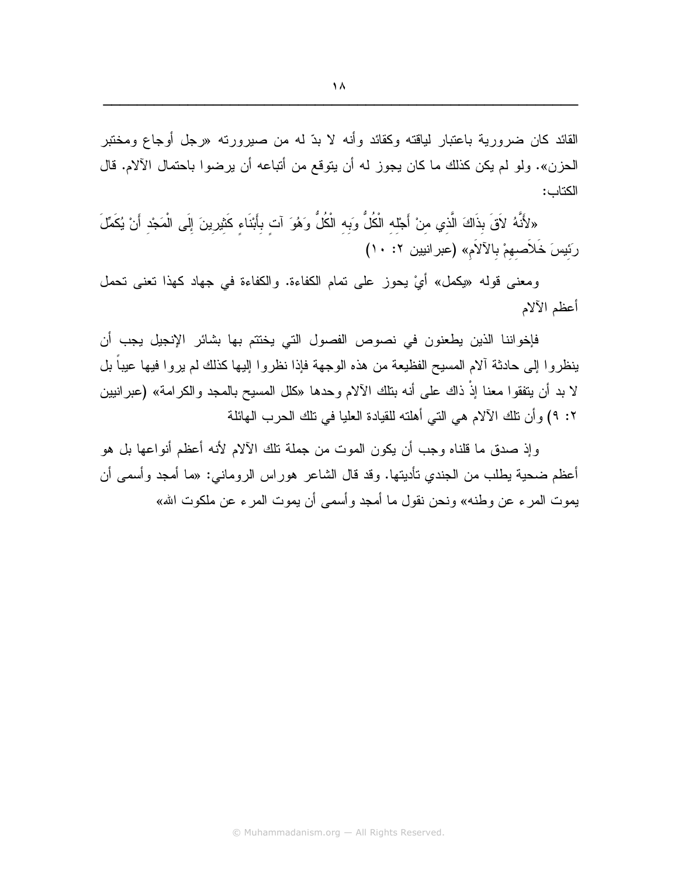القائد كان ضرورية باعتبار لياقته وكقائد وأنه لا بدّ له من صبرورته «رجل أوجاع ومختبر الحزن». ولو لم يكن كذلك ما كان يجوز له أن يتوقع من أتباعه أن يرضوا باحتمال الآلام. قال الكتاب:

«لأَنَّهُ لاَقَ بذَاكَ الَّذي منْ أَجْله الْكُلُّ وَبه الْكُلُّ وَهُوَ آت بأَبْنَاء كَثيرينَ إِلَى الْمَجْد أَنْ يُكَمِّلَ رَئِيسَ خَلاَصهمْ بِالآلاَمِ» (عبر انيين ٢: ١٠)

ومعنى قوله «يكمل» أيْ يحوز على تمام الكفاءة. والكفاءة في جهاد كهذا تعني تحمل أعظم الآلام

فإخواننا الذين يطعنون في نصوص الفصول التي يختتم بها بشائر الإنجيل يجب أن ينظروا إلى حادثة ألام المسيح الفظيعة من هذه الوجهة فإذا نظروا إليها كذلك لم يروا فيها عيبا بل لا بد أن يتفقوا معنا إذْ ذاك على أنه بتلك الآلام وحدها «كلل المسيح بالمجد والكرامة» (عبرانيين ٢: ٩) وأن نلك الآلام هي التي أهلنه للقيادة العليا في نلك الحرب الهائلة

وإذ صدق ما قلناه وجب أن يكون الموت من جملة نلك الألام لأنه أعظم أنواعها بل هو أعظم ضحية يطلب من الجندي نأديتها. وقد قال الشاعر هوراس الروماني: «ما أمجد وأسمى أن يموت المر ء عن وطنه» ونحن نقول ما أمجد و أسمى أن يموت المر ء عن ملكوت الله»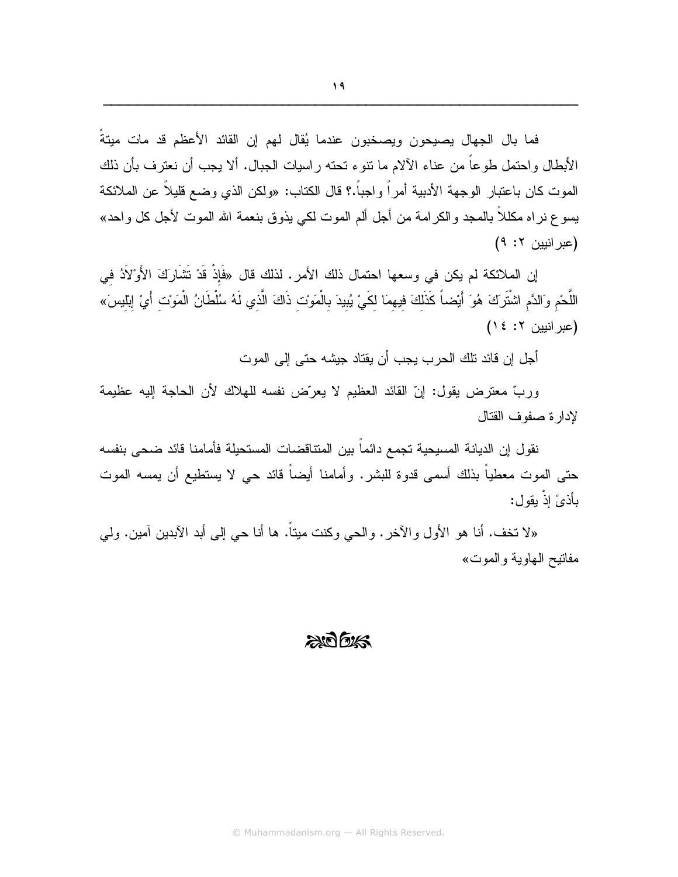فما بال الجهال يصيحون ويصخبون عندما يُقال لمهم إن القائد الأعظم قد مات ميتةً الأبطال و احتمل طوعاً من عناء الآلام ما نتوء تحته ر اسيات الجبال. ألا يجب أن نعترف بأن ذلك الموت كان باعتبار الوجهة الأدبية أمراً و اجباً.؟ قال الكتاب: «ولكن الذي وضع قليلاً عن الملائكة يسوع نر اه مكللاً بالمجد والكرامة من أجل ألم الموت لكي يذوق بنعمة الله الموت لأجل كل واحد» (عبر انيين ٢: ٩)

إن الملائكة لم يكن في وسعها احتمال ذلك الأمر. لذلك قال «فَإِذْ قَدْ تَشَارَكَ الأَوْلَادُ في اللَّحْم وَالدَّم اشْتَرَكَ هُوَ أَيْضـاً كَذَلِكَ فيهمَا لكَيْ يُبيدَ بِالْمَوْتِ ذَاكَ الَّذِي لَهُ سُلْطَانُ الْمَوْت أَيْ إِبْليسَ» (عبر انيين ٢: ١٤)

أجل إن قائد تلك الحرب يجب أن يقتاد جيشه حتى إلى الموت

وربِّ معترض يقول: إنَّ القائد العظيم لا يعرَّض نفسه للهلاك لأن الحاجة إليه عظيمة لادار ة صفوف القتال

نقول إن الديانة المسيحية تجمع دائماً بين المتناقضات المستحيلة فأمامنا قائد ضحى بنفسه حتى الموت معطياً بذلك أسمى قدوة للبشر. وأمامنا أيضاً قائد حي لا يستطيع أن يمسه الموت يأذيً إذْ يقول:

«لا نَخف. أنا هو الأول والآخر. والحي وكنت ميتاً. ها أنا حي إلى أبد الآبدين آمين. ولـي مفاتيح الـهاوية والموت»

#### $2007$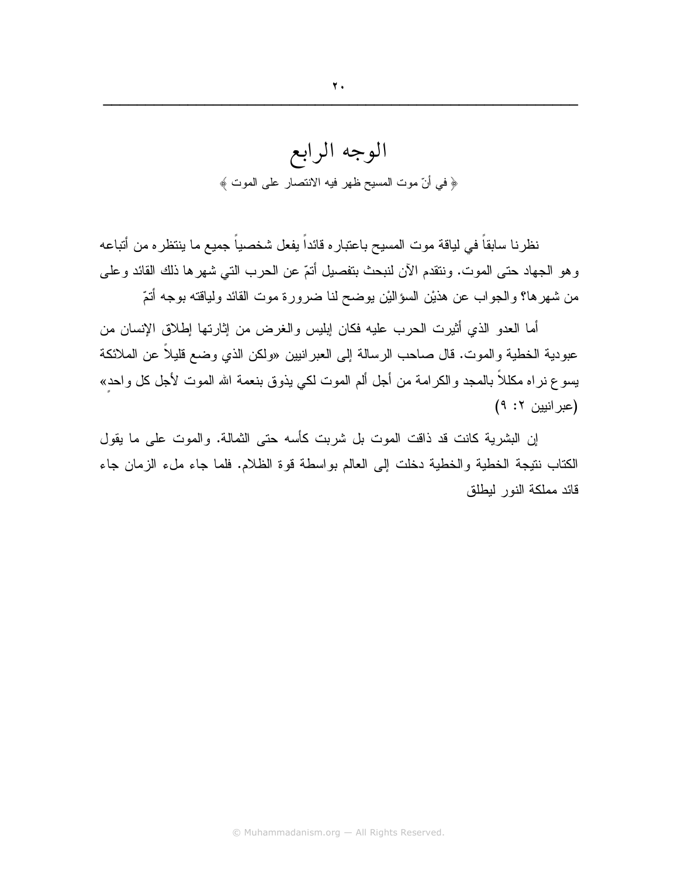نظرنا سابقاً في لياقة موت المسيح باعتبار ه قائداً يفعل شخصياً جميع ما ينتظر ه من أتباعه وهو الجهاد حتى الموت. وننقدم الآن لنبحث بنفصيل أنمّ عن الحرب التي شهرها ذلك القائد وعلى من شهرها؟ والجواب عن هذيْن السؤاليْن يوضح لنا ضرورة موت القائد ولياقته بوجه أتمّ

أما العدو الذي أثيرت الحرب عليه فكان إبليس والغرض من إثارتها إطلاق الإنسان من عبودية الخطية والموت. قال صاحب الرسالة إلى العبر انيين «ولكن الذي وضع قليلاً عن الملائكة يسو ع نر اه مكللاً بالمـجد والكرامـة من أجل ألم المـوت لكـي يذوق بنـعمـة الله المـوت لأجل كل واحد» (عبر انيين ٢: ٩)

إن البشرية كانت قد ذاقت الموت بل شربت كأسه حتى الثمالة. والموت على ما يقول الكتاب نتيجة الخطية والخطية دخلت إلى العالم بواسطة قوة الظلام. فلما جاء ملء الزمان جاء قائد مملكة النور لبطلق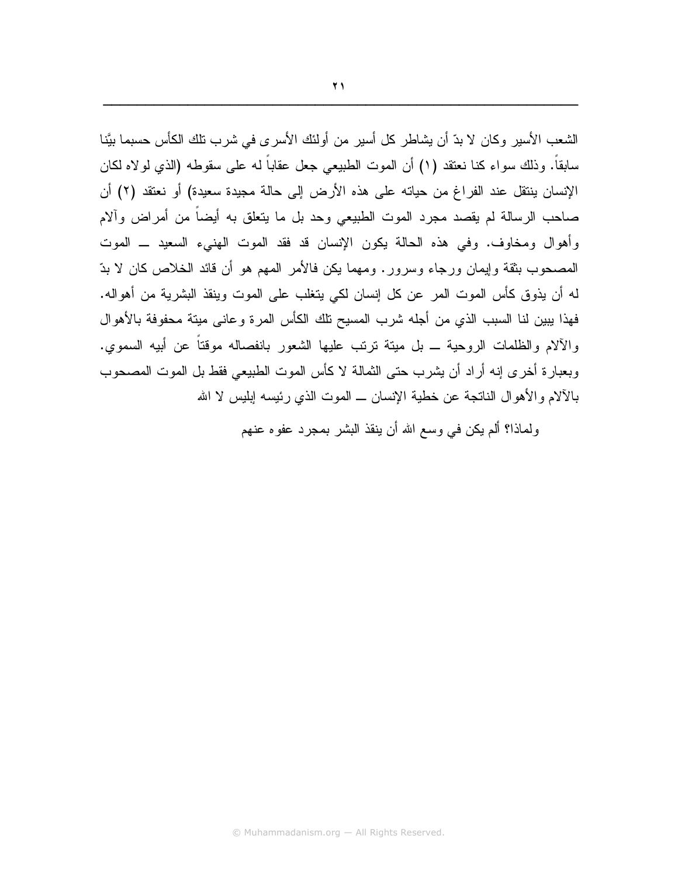الشعب الأسبر وكان لا بدِّ أن بشاطرٍ كل أسبر من أولئك الأسر ي في شر ب تلك الكأس حسبما ببَّنا سابقاً. وذلك سواء كنا نعتقد (١) أن الموت الطبيعي جعل عقاباً له على سقوطه (الذي لولاه لكان الإنسان بنتقل عند الفراغ من حياته على هذه الأرض إلى حالة مجيدة سعيدة) أو نعتقد (٢) أن صاحب الرسالة لم يقصد مجرد الموت الطبيعي وحد بل ما يتعلق به أيضاً من أمراض وألام وأهوال ومخاوف. وفي هذه الحالة يكون الإنسان قد فقد الموت الهنيء السعيد ــ الموت المصحوب بثقة وإيمان ورجاء وسرور. ومهما يكن فالأمر المهم هو أن قائد الخلاص كان لا بدّ له أن يذوق كأس الموت المر عن كل إنسان لكي يتغلب على الموت وينقذ البشرية من أهواله. فهذا ببين لنا السبب الذي من أجله شرب المسيح نلك الكأس المرة وعاني ميتة محفوفة بالأهوال والآلام والظلمات الروحية ــ بل ميتة ترتب عليها الشعور بانفصاله موقتاً عن أبيه السموي. وبعبارة أخرى إنه أراد أن يشرب حتى الثمالة لا كأس الموت الطبيعي فقط بل الموت المصحوب بالآلام والأهوال الناتجة عن خطية الإنسان ــ الموت الذي رئيسه إبليس لا الله

ولماذا؟ ألم يكن في وسع الله أن ينقذ البشر بمجرد عفوه عنهم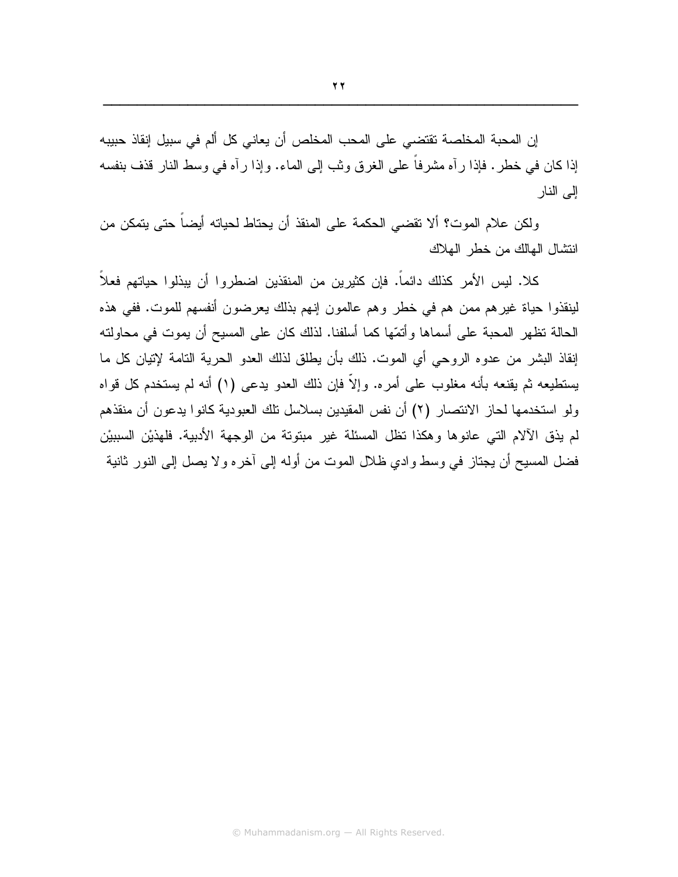ولكن علام الموت؟ ألا نقضي الحكمة على المنقذ أن يحتاط لحياته أيضاً حتى يتمكن من انتشال الهالك من خطر الهلاك

كلا. ليس الأمر كذلك دائماً. فإن كثيرين من المنقذين اضطروا أن يبذلوا حياتهم فعلاً لينقذوا حياة غيرهم ممن هم في خطر وهم عالمون إنهم بذلك يعرضون أنفسهم للموت. ففي هذه الحالة تظهر المحبة على أسماها وأنمّها كما أسلفنا. لذلك كان على المسيح أن يموت في محاولته إنقاذ البشر من عدوه الروحي أي الموت. ذلك بأن يطلق لذلك العدو الحرية النامة لإتيان كل ما يستطيعه ثم يقنعه بأنه مغلوب على أمره. وإلاَّ فإن ذلك العدو يدعى (١) أنه لم يستخدم كل قواه ولو استخدمها لحاز الانتصار (٢) أن نفس المقيدين بسلاسل نلك العبودية كانوا يدعون أن منقذهم لم يذق الآلام التي عانوها وهكذا تظل المسئلة غير مبتوتة من الوجهة الأدبية. فلهذيْن السببيْن فضل المسيح أن يجتاز في وسط وادي ظلال الموت من أوله إلى آخره ولا يصل إلى النور ثانية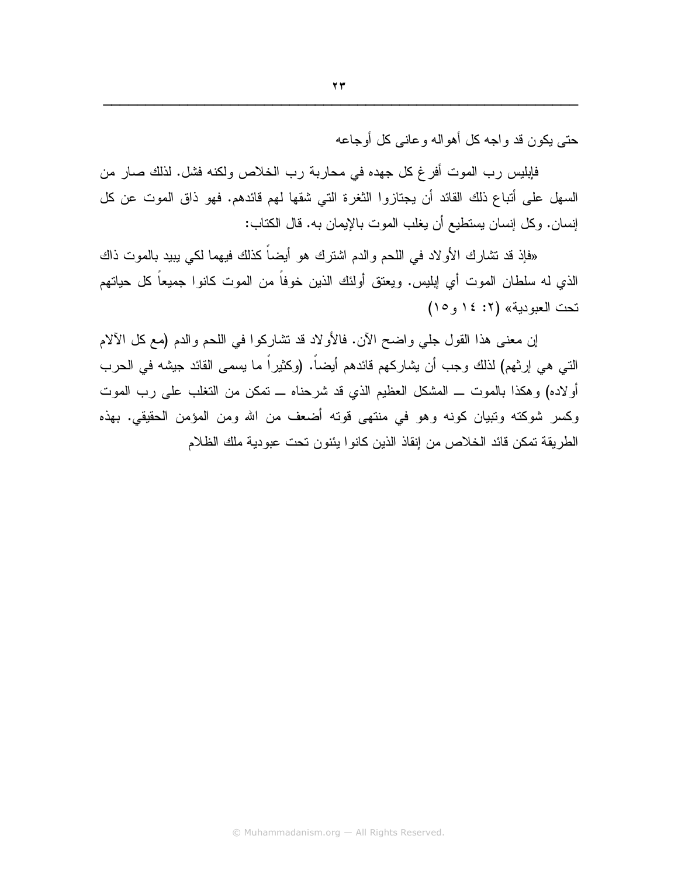$\mathbf{y}$ 

حتي يكون قد واجه كل أهواله وعانبي كل أوجاعه

فإبليس رب الموت أفرغ كل جهده في محاربة رب الخلاص ولكنه فشل. لذلك صار من السهل على أنباع ذلك القائد أن يجتازوا الثغرة التي شقها لهم قائدهم. فهو ذاق الموت عن كل إنسان. وكل إنسان يستطيع أن يغلب الموت بالإيمان به. قال الكتاب:

«فإذ قد تشارك الأولاد في اللحم والدم اشترك هو أيضـاً كذلك فيهما لكي يبيد بالموت ذاك الذي له سلطان الموت أي إبليس. ويعتق أولئك الذين خوفاً من الموت كانوا جميعاً كل حياتهم تحت العبودية» (٢: ١٤ و ١٥)

إن معنى هذا القول جلي واضح الآن. فالأولاد قد تشاركوا في اللحم والدم (مع كل الآلام النَّبي هي إرثهم) لذلك وجب أن يشاركهم قائدهم أيضـاً. (وكثيراً ما يسمى القائد جيشه في الحرب أولاده) وهكذا بالموت ـــ المشكل العظيم الذي قد شرحناه ـــ تمكن من التغلب على رب الموت وكسر شوكته وتبيان كونه وهو في منتهى قوته أضعف من الله ومن المؤمن الحقيقي. بهذه الطريقة تمكن قائد الخلاص من إنقاذ الذين كانوا يئنون تحت عبودية ملك الظلام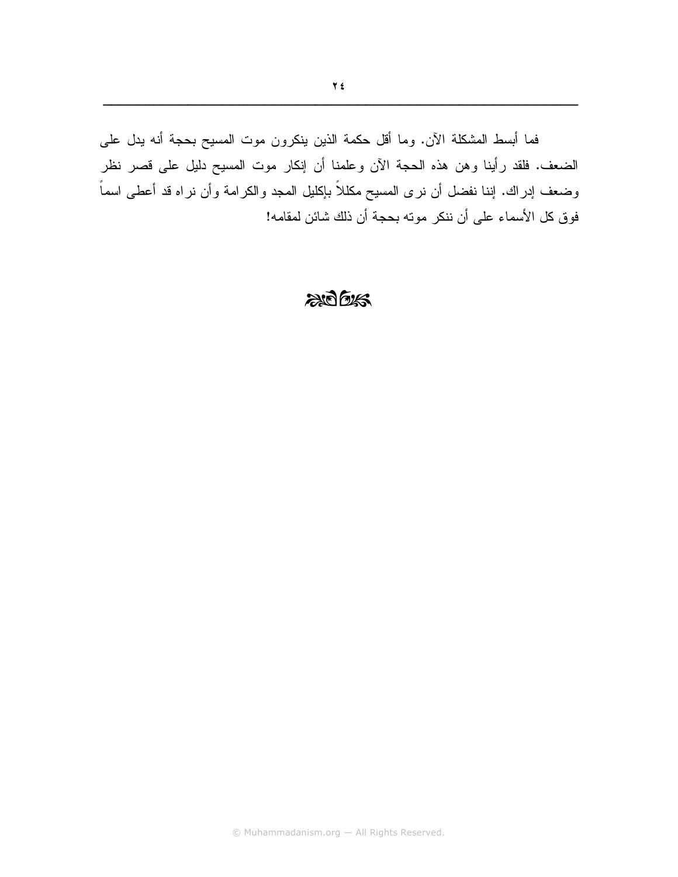فما أبسط المشكلة الأن. وما أقل حكمة الذين ينكرون موت المسيح بحجة أنه يدل على الضعف. فلقد رأينا وهن هذه الحجة الأن وعلمنا أن إنكار موت المسيح دليل على قصر نظر وضعف إدراك. إننا نفضل أن نرى المسيح مكللاً بإكليل المجد والكرامة وأن نراه قد أعطى اسماً فوق كل الأسماء على أن ننكر مونه بحجة أن ذلك شائن لمقامه!

#### $205$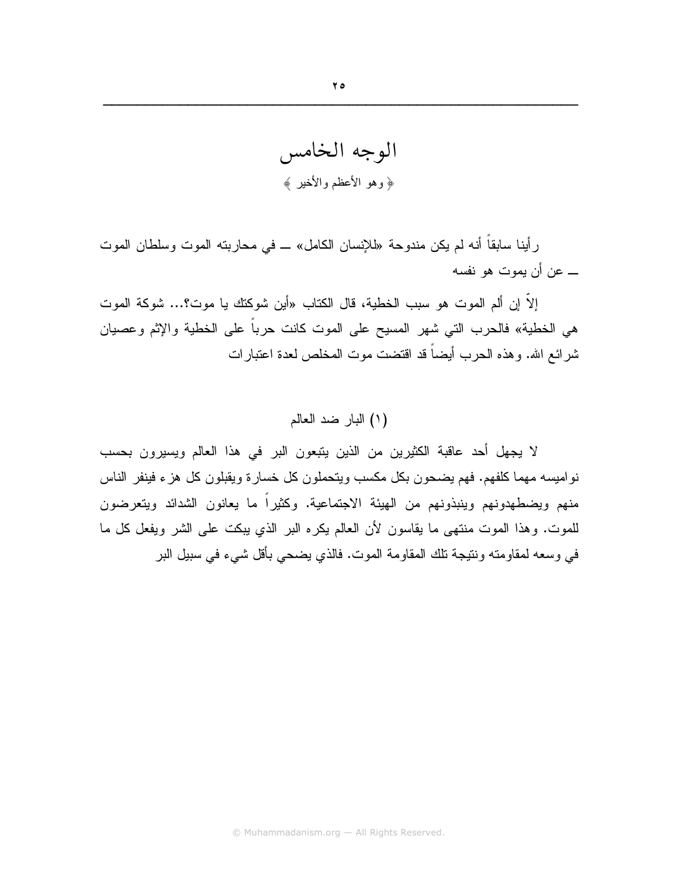الوجه الخامس ﴿ وَهُوَ الْأَعْظَمَ وَالْأَخْيَٰرِ ﴾

رأينا سابقاً أنه لم يكن مندوحة «للإنسان الكامل» ــ في محاربته الموت وسلطان الموت ـــ عن أن يموت هو نفسه

إلاَّ إن ألم الموت هو سبب الخطية، قال الكتاب «أين شوكتك يا موت؟... شوكة الموت هي الخطية» فالحرب التي شهر المسيح على الموت كانت حرباً على الخطية والإثم وعصيان شرائع الله. وهذه الحرب أيضاً قد اقتضت موت المخلص لعدة اعتبارات

#### (١) البار ضد العالم

لا يجهل أحد عاقبة الكثيرين من الذين يتبعون البر في هذا العالم ويسيرون بحسب نواميسه مهما كلفهم. فهم يضحون بكل مكسب ويتحملون كل خسارة ويقبلون كل هزء فينفر الناس منهم ويضطهدونهم وينبذونهم من الهيئة الاجتماعية. وكثيراً ما يعانون الشدائد ويتعرضون للموت. وهذا الموت منتهى ما يقاسون لأن العالم يكره البر الذي يبكت على الشر ويفعل كل ما في وسعه لمقاومته ونتيجة تلك المقاومة الموت. فالذي يضحي بأقل شيء في سبيل البر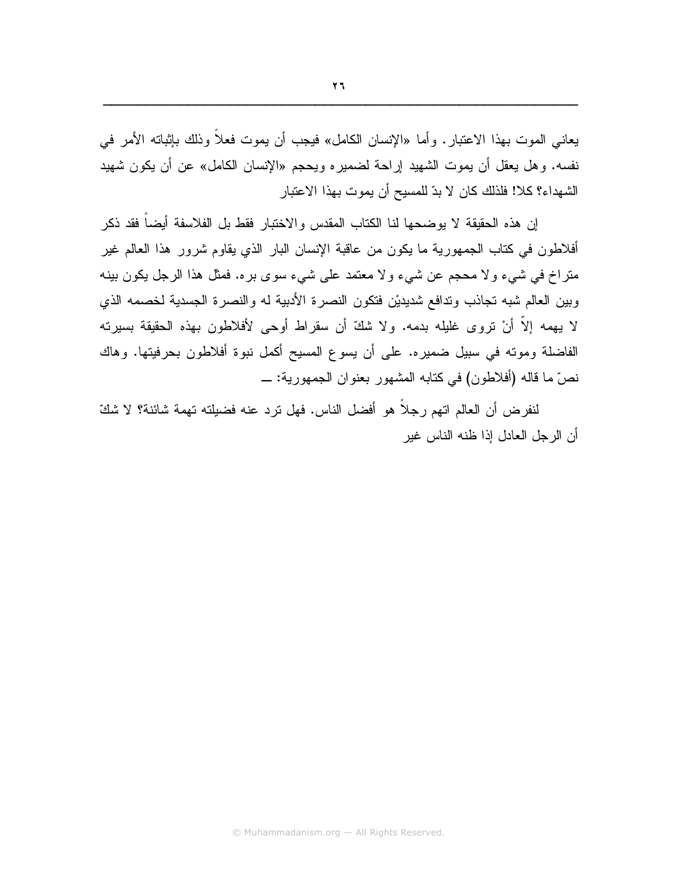يعاني الموت بهذا الاعتبار . وأما «الإنسان الكامل» فيجب أن يموت فعلاً وذلك بإثباته الأمر في نفسه. وهل يعقل أن يموت الشهيد إراحة لضميره ويحجم «الإنسان الكامل» عن أن يكون شهيد الشهداء؟ كلا! فلذلك كان لا بدّ للمسيح أن يموت بهذا الاعتبار

إن هذه الحقيقة لا يوضحها لنا الكتاب المقدس والاختبار فقط بل الفلاسفة أيضاً فقد ذكر أفلاطون في كتاب الجمهورية ما يكون من عاقبة الإنسان البار الذي يقاوم شرور هذا العالم غير منزاخ في شيء ولا محجم عن شيء ولا معتمد على شيء سوى بره. فمثل هذا الرجل يكون بينه وبين العالم شبه تجاذب وتدافع شديديْن فتكون النصرة الأدبية له والنصرة الجسدية لخصمه الذي لا يهمه إلاَّ أنْ تروى غليله بدمه. ولا شكَّ أن سقراط أوحى لأفلاطون بهذه الحقيقة بسيرته الفاضلة وموته في سبيل ضميره. على أن يسوع المسيح أكمل نبوة أفلاطون بحرفيتها. وهاك نصِّ ما قاله (أفلاطون) في كتابه المشهور بعنوان الجمهورية: \_

لنفرض أن العالم اتهم رجلًا هو أفضل الناس. فهل ترد عنه فضيلته تهمة شائنة؟ لا شكَّ أن الرجل العادل إذا ظنه الناس غير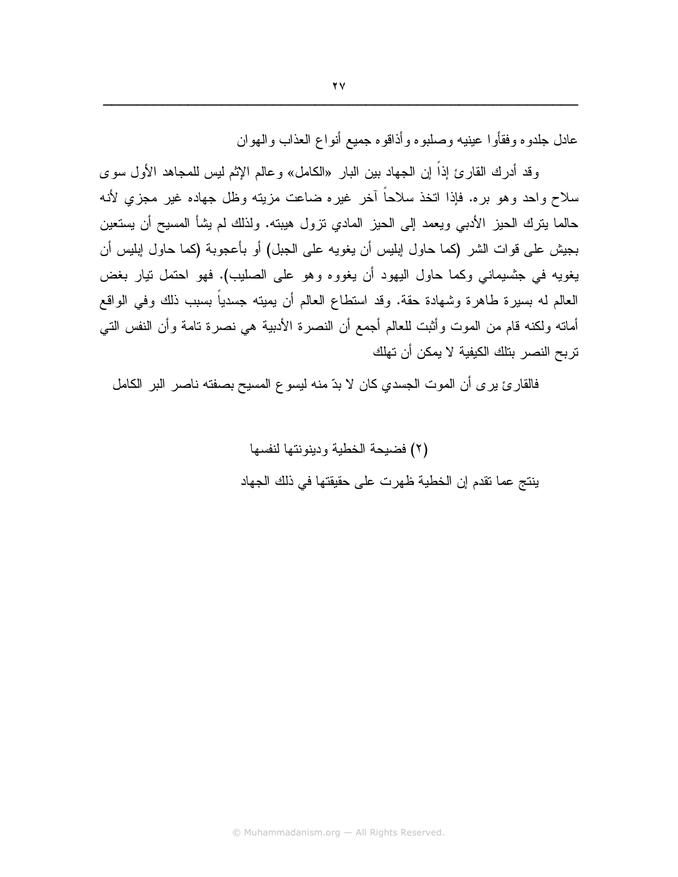عادل جلدوه وفقأو ا عينيه وصلبوه وأذاقوه جميع أنواع العذاب والهوان

وقد أدرك القارئ إذاً إن الجهاد بين البار «الكامل» وعالم الإثم ليس للمجاهد الأول سوى سلاح واحد وهو بره. فإذا اتخذ سلاحاً أخر غيره ضاعت مزيته وظل جهاده غير مجزى لأنه حالما بِترك الحيز الأدبـي ويعمد إلـي الـحيز المادي نزول هيبته. ولذلك لم يشأ المسيح أن يستعين بجيش على فو ات الشر (كما حاول ابليس أن يغويه على الجبل) أو بأعجوبة (كما حاول ابليس أن يغويه في جنسيماني وكما حاول اليهود أن يغووه وهو على الصليب). فهو احتمل تيار بغض العالم له بسيرة طاهرة وشهادة حقة. وقد استطاع العالم أن يميته جسدياً بسبب ذلك وفي الواقع أماته ولكنه قام من الموت وأثبت للعالم أجمع أن النصرة الأدبية هي نصرة تامة وأن النفس التي تربح النصر. بتلك الكيفية لا يمكن أن تهلك

فالقارئ يرى أن الموت الجسدي كان لا بدّ منه ليسوع المسيح بصفته ناصر البر الكامل

(٢) فضيحة الخطية ودينونتها لنفسها ينتج عما نقدم إن الخطية ظهرت على حقيقتها في ذلك الجهاد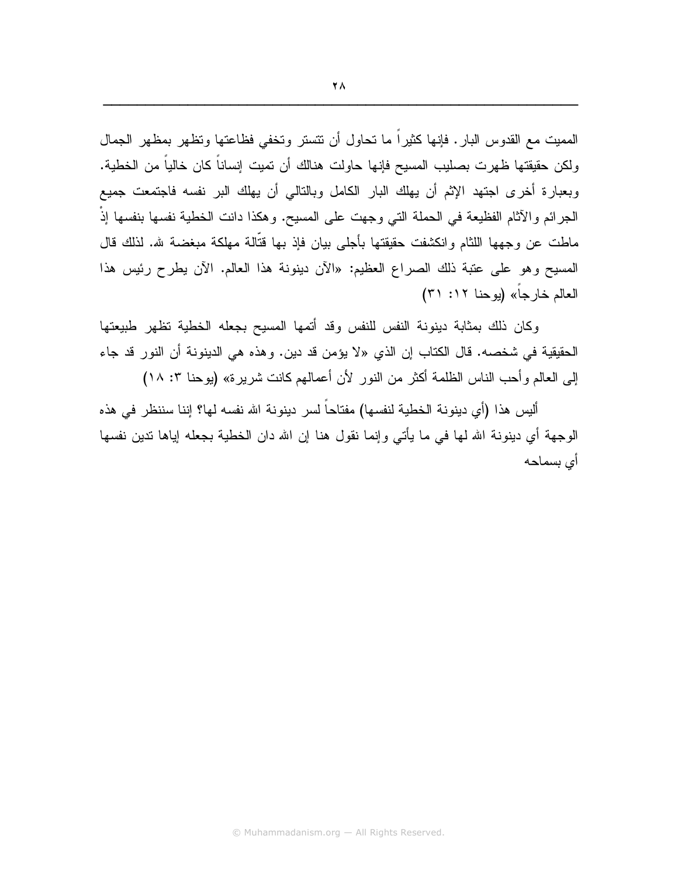المميت مع القدوس البار . فإنها كثيراً ما نحاول أن نتستر وتخفى فظاعتها وتظهر بمظهر الجمال ولكن حقيقتها ظهرت بصليب المسيح فإنها حاولت هنالك أن تميت إنساناً كان خالياً من الخطية. وبعبارة أخرى اجتهد الإثم أن يهلك البار الكامل وبالنالي أن يهلك البر نفسه فاجتمعت جميع الجرائم والآثام الفظيعة في الحملة التي وجهت على المسيح. وهكذا دانت الخطية نفسها بنفسها إذْ ماطت عن وجهها اللثام وانكشفت حقيقتها بأجلى بيان فإذ بها قتَّالة مهلكة مبغضبة شر. لذلك قال المسيح وهو على عتبة ذلك الصراع العظيم: «الآن دينونة هذا العالم. الآن يطرح رئيس هذا العالم خارجاً» (يوحنا ١٢: ٣١)

وكان ذلك بمثابة دينونة النفس للنفس وقد أتمها المسيح بجعله الخطية تظهر طبيعتها الحقيقية في شخصه. قال الكتاب إن الذي «لا يؤمن قد دين. وهذه هي الدينونة أن النور قد جاء إلى العالم وأحب الناس الظلمة أكثر من النور لأن أعمالهم كانت شريرة» (يوحنا ٣: ١٨)

أليس هذا (أي دينونة الخطية لنفسها) مفتاحاً لسر دينونة الله نفسه لها؟ إننا سننظر في هذه الوجهة أي دينونة الله لها في ما يأتي وإنما نقول هنا إن الله دان الخطية بجعله إياها ندين نفسها أى بسماحه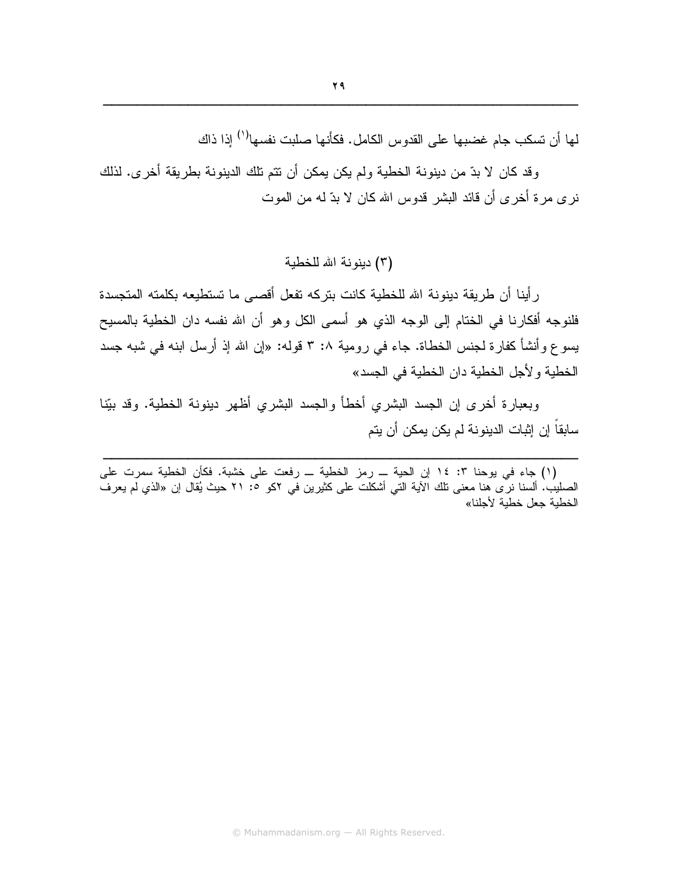لما أن تسكب جام غضبها على القدوس الكامل. فكأنها صلبت نفسها<sup>(١)</sup> إذا ذاك

وقد كان لا بدّ من دينونة الخطية ولم يكن يمكن أن نتم تلك الدينونة بطريقة أخرى. لذلك نرى مرة أخرى أن قائد البشر قدوس الله كان لا بدّ له من الموت

(٣) دبنونة الله للخطبة

رِ أينا أن طريقة دينونة الله للخطية كانت بتركه تفعل أقصبي ما تستطيعه بكلمته المتجسدة فلنوجه أفكارنا في الختام إلى الوجه الذي هو أسمى الكل وهو أن الله نفسه دان الخطية بالمسيح يسو ع و أنشأ كفارة لجنس الخطاة. جاء في رومية ٨: ٣ قوله: «إن الله إذ أرسل ابنه في شبه جسد الخطبة و لأجل الخطبة دان الخطبة في الجسد»

وبعبارة أخرى إن الجسد البشرى أخطأ والجسد البشرى أظهر دينونة الخطية. وقد بيِّنا سابقاً إن إثبات الدينونة لم يكن يمكن أن يتم

(١) جاء في يوحنا ٣: ١٤ إن الحية ــ رمز الخطية ــ رفعت على خشبة. فكأن الخطية سمرت على الصليب. ألسنا نرى هنا معنى تلك الأية التي أشكلت على كثيرين في ٢كو °: ٢١ حيث يُقال إن «الذي لم يعرف الخطية جعل خطية لأجلنا»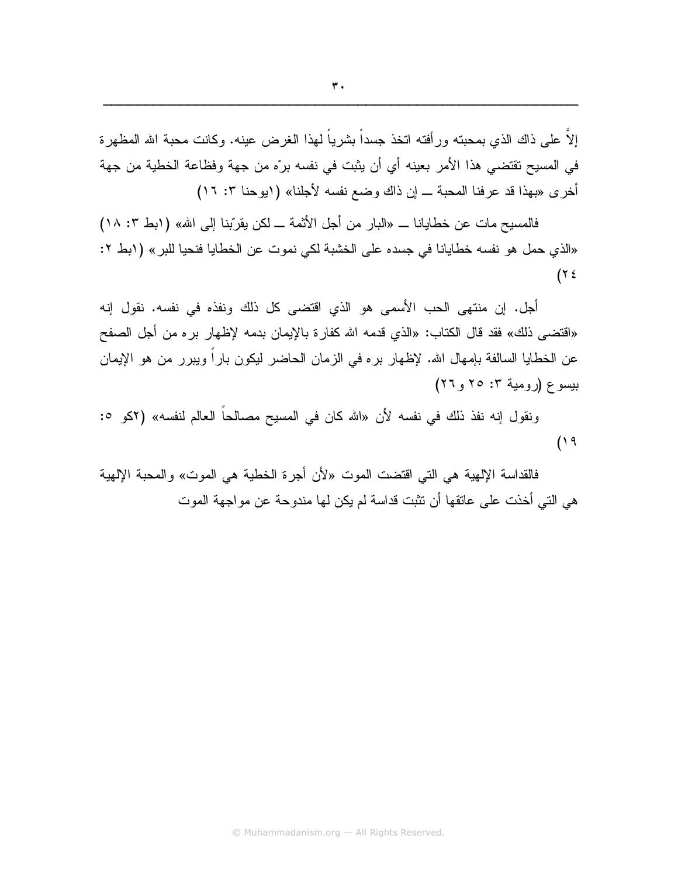إلاَّ علي ذاك الذي بمحبته ور أفته اتخذ جسداً بشر باً لـهذا الـغر ض عبنه. وكانت محبة الله المظهر ة في المسيح تقتضي هذا الأمر بعينه أي أن يثبت في نفسه برّه من جهة وفظاعة الخطية من جهة أخرى «بهذا قد عرفنا المحبة \_ إن ذاك وضع نفسه لأجلنا» (ابوحنا ٣: ١٦)

فالمسيح مات عن خطايانا ـــ «البار من أجل الأثمة ـــ لكن يقرِّبنا إلى الله» ( ابط ٣: ١٨) «الذي حمل هو نفسه خطايانا في جسده على الخشبة لكي نموت عن الخطايا فنحيا للبر» (ابط ٢:  $($ ۲٤

أجل. إن منتهى الحب الأسمى هو الذي اقتضىي كل ذلك ونفذه في نفسه. نقول إنه «اقتضبي ذلك» فقد قال الكتاب: «الذي قدمه الله كفارة بالإيمان بدمه لإظهار بره من أجل الصفح عن الخطايا السالفة بإمهال الله. لإظهار بره في الزمان الحاضر ليكون باراً ويبرر من هو الإيمان بېسو ۶ (رومېة ۲: ۲۰ و ۲۲)

ونقول إنه نفذ ذلك في نفسه لأن «الله كان في المسيح مصـالحـا الـعالم لنفسه» (٢كو ٥:  $(19$ 

فالقداسة الإلهية هي التي اقتضت الموت «لأن أجرة الخطية هي الموت» والمحبة الإلهية هي التي أخذت على عاتقها أن تثبت قداسة لم يكن لها مندوحة عن مو اجهة الموت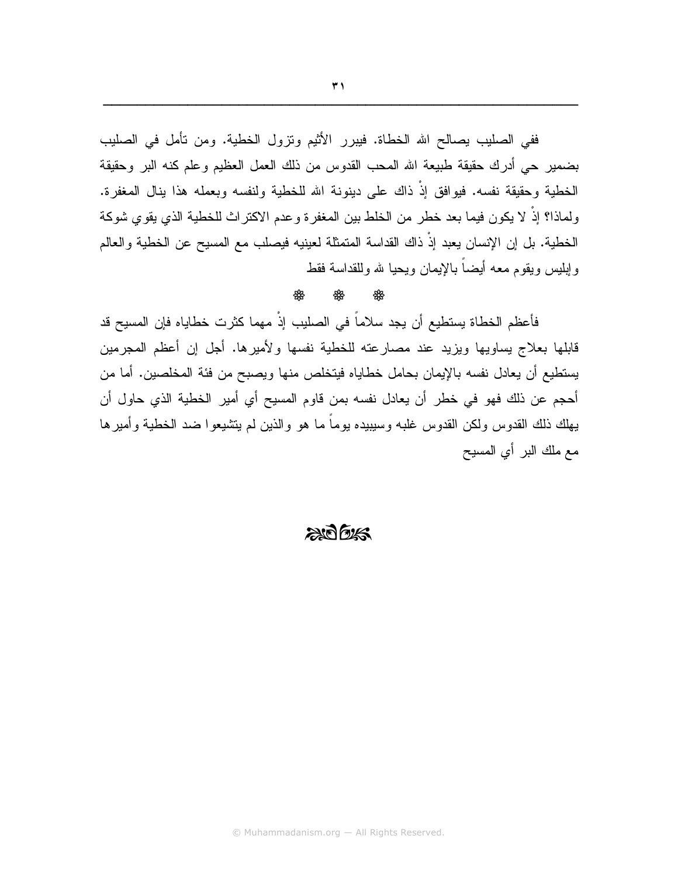ففي الصليب يصالح الله الخطاة. فيبرر الأثيم وتزول الخطية. ومن تأمل في الصليب بضمير حي أدرك حقيقة طبيعة الله المحب القدوس من ذلك العمل العظيم وعلم كنه البر وحقيقة الخطية وحقيقة نفسه. فيوافق إذْ ذاك على دينونة الله للخطية ولنفسه وبعمله هذا ينال المغفرة. ولماذا؟ إذْ لا يكون فيما بعد خطر من الخلط بين المغفرة وعدم الاكتراث للخطية الذي يقوي شوكة الخطية. بل إن الإنسان يعبد إذْ ذاك القداسة المتمثلة لعينيه فيصلب مع المسيح عن الخطية والعالم وإبلبس ويقوم معه أيضآ بالإيمان ويحيا لله وللقداسة فقط

#### ₩

فأعظم الخطاة يستطيع أن يجد سلاماً في الصليب إذْ مهما كثرت خطاياه فإن المسيح قد قابلها بعلاج يساويها ويزيد عند مصارعته للخطية نفسها ولأميرها. أجل إن أعظم المجرمين يستطيع أن يعادل نفسه بالإيمان بحامل خطاياه فيتخلص منها ويصبح من فئة المخلصين. أما من أحجم عن ذلك فهو في خطرٍ أن يعادل نفسه بمن قاوم المسيح أي أمير الخطية الذي حاول أن يهلك ذلك القدوس ولكن القدوس غلبه وسيبيده يوماً ما هو والذين لم يتشيعوا ضد الخطية وأمير ها مع ملك البر أي المسيح

#### $2075$